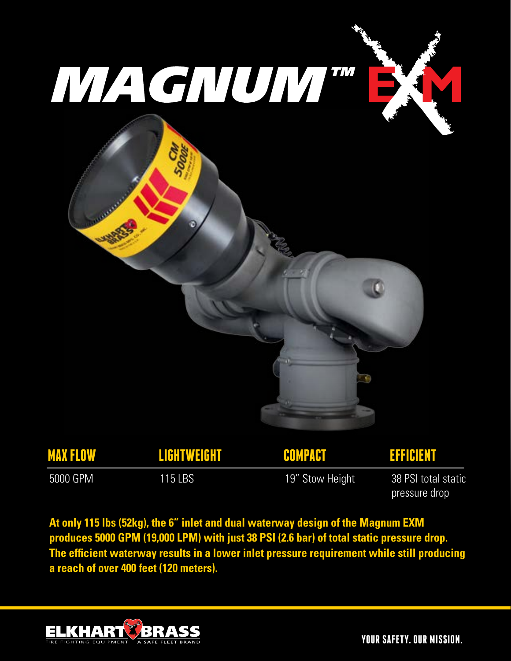





| <b>MAX FLOW</b> | LIGHTWEIGHT | COMPACT         | <b>EFFICIENT</b>                     |
|-----------------|-------------|-----------------|--------------------------------------|
| 5000 GPM        | 115 LBS     | 19" Stow Height | 38 PSI total static<br>pressure drop |

**At only 115 lbs (52kg), the 6" inlet and dual waterway design of the Magnum EXM produces 5000 GPM (19,000 LPM) with just 38 PSI (2.6 bar) of total static pressure drop. The efficient waterway results in a lower inlet pressure requirement while still producing a reach of over 400 feet (120 meters).**



**YOUR SAFETY. OUR MISSION.**